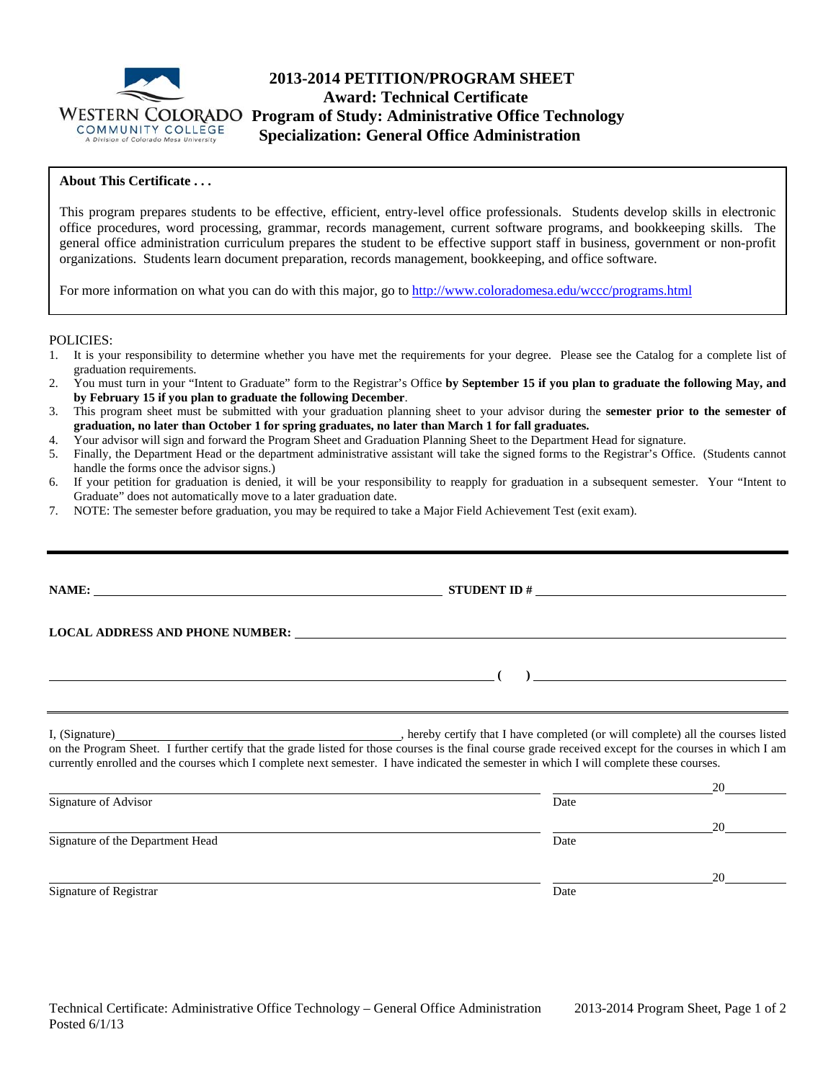

# **2013-2014 PETITION/PROGRAM SHEET Award: Technical Certificate WESTERN COLORADO Program of Study: Administrative Office Technology**<br>COMMUNITY COLLEGE **Specialization: General Office Administration Specialization: General Office Administration**

## **About This Certificate . . .**

This program prepares students to be effective, efficient, entry-level office professionals. Students develop skills in electronic office procedures, word processing, grammar, records management, current software programs, and bookkeeping skills. The general office administration curriculum prepares the student to be effective support staff in business, government or non-profit organizations. Students learn document preparation, records management, bookkeeping, and office software.

For more information on what you can do with this major, go to http://www.coloradomesa.edu/wccc/programs.html

POLICIES:

- 1. It is your responsibility to determine whether you have met the requirements for your degree. Please see the Catalog for a complete list of graduation requirements.
- 2. You must turn in your "Intent to Graduate" form to the Registrar's Office **by September 15 if you plan to graduate the following May, and by February 15 if you plan to graduate the following December**.
- 3. This program sheet must be submitted with your graduation planning sheet to your advisor during the **semester prior to the semester of graduation, no later than October 1 for spring graduates, no later than March 1 for fall graduates.**
- 4. Your advisor will sign and forward the Program Sheet and Graduation Planning Sheet to the Department Head for signature.
- 5. Finally, the Department Head or the department administrative assistant will take the signed forms to the Registrar's Office. (Students cannot handle the forms once the advisor signs.)
- 6. If your petition for graduation is denied, it will be your responsibility to reapply for graduation in a subsequent semester. Your "Intent to Graduate" does not automatically move to a later graduation date.
- 7. NOTE: The semester before graduation, you may be required to take a Major Field Achievement Test (exit exam).

|                                  | LOCAL ADDRESS AND PHONE NUMBER: VALUE AND THE SERIES AND PHONE NUMBER:                                                                                                                                                                                                                              |                      |
|----------------------------------|-----------------------------------------------------------------------------------------------------------------------------------------------------------------------------------------------------------------------------------------------------------------------------------------------------|----------------------|
|                                  | $\left(\begin{array}{c}\right)$                                                                                                                                                                                                                                                                     |                      |
|                                  | on the Program Sheet. I further certify that the grade listed for those courses is the final course grade received except for the courses in which I am<br>currently enrolled and the courses which I complete next semester. I have indicated the semester in which I will complete these courses. |                      |
|                                  |                                                                                                                                                                                                                                                                                                     |                      |
| Signature of Advisor             | Date                                                                                                                                                                                                                                                                                                | $20 \quad \text{or}$ |
| Signature of the Department Head | Date                                                                                                                                                                                                                                                                                                |                      |
|                                  |                                                                                                                                                                                                                                                                                                     | 20                   |
| Signature of Registrar           | Date                                                                                                                                                                                                                                                                                                |                      |